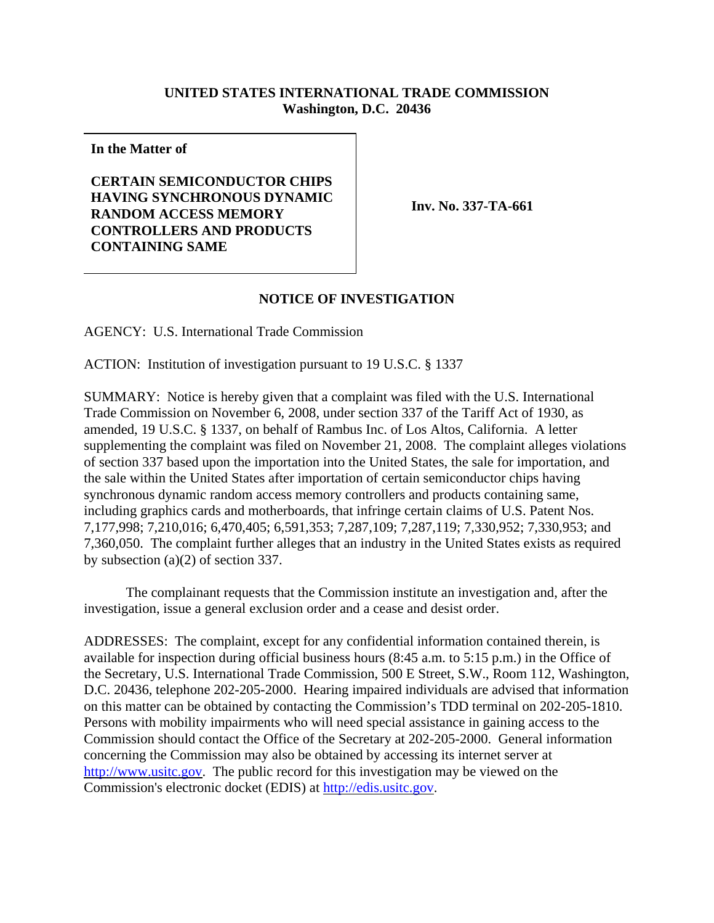## **UNITED STATES INTERNATIONAL TRADE COMMISSION Washington, D.C. 20436**

**In the Matter of**

**CERTAIN SEMICONDUCTOR CHIPS HAVING SYNCHRONOUS DYNAMIC RANDOM ACCESS MEMORY CONTROLLERS AND PRODUCTS CONTAINING SAME**

**Inv. No. 337-TA-661**

## **NOTICE OF INVESTIGATION**

AGENCY: U.S. International Trade Commission

ACTION: Institution of investigation pursuant to 19 U.S.C. § 1337

SUMMARY: Notice is hereby given that a complaint was filed with the U.S. International Trade Commission on November 6, 2008, under section 337 of the Tariff Act of 1930, as amended, 19 U.S.C. § 1337, on behalf of Rambus Inc. of Los Altos, California. A letter supplementing the complaint was filed on November 21, 2008. The complaint alleges violations of section 337 based upon the importation into the United States, the sale for importation, and the sale within the United States after importation of certain semiconductor chips having synchronous dynamic random access memory controllers and products containing same, including graphics cards and motherboards, that infringe certain claims of U.S. Patent Nos. 7,177,998; 7,210,016; 6,470,405; 6,591,353; 7,287,109; 7,287,119; 7,330,952; 7,330,953; and 7,360,050. The complaint further alleges that an industry in the United States exists as required by subsection (a)(2) of section 337.

The complainant requests that the Commission institute an investigation and, after the investigation, issue a general exclusion order and a cease and desist order.

ADDRESSES: The complaint, except for any confidential information contained therein, is available for inspection during official business hours (8:45 a.m. to 5:15 p.m.) in the Office of the Secretary, U.S. International Trade Commission, 500 E Street, S.W., Room 112, Washington, D.C. 20436, telephone 202-205-2000. Hearing impaired individuals are advised that information on this matter can be obtained by contacting the Commission's TDD terminal on 202-205-1810. Persons with mobility impairments who will need special assistance in gaining access to the Commission should contact the Office of the Secretary at 202-205-2000. General information concerning the Commission may also be obtained by accessing its internet server at http://www.usitc.gov. The public record for this investigation may be viewed on the Commission's electronic docket (EDIS) at http://edis.usitc.gov.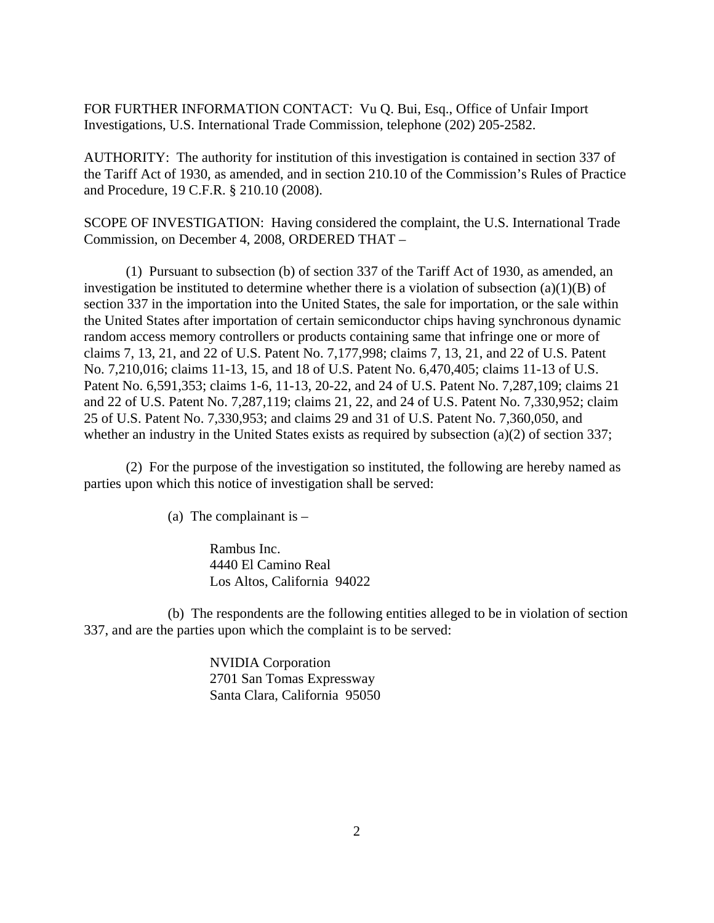FOR FURTHER INFORMATION CONTACT: Vu Q. Bui, Esq., Office of Unfair Import Investigations, U.S. International Trade Commission, telephone (202) 205-2582.

AUTHORITY: The authority for institution of this investigation is contained in section 337 of the Tariff Act of 1930, as amended, and in section 210.10 of the Commission's Rules of Practice and Procedure, 19 C.F.R. § 210.10 (2008).

SCOPE OF INVESTIGATION: Having considered the complaint, the U.S. International Trade Commission, on December 4, 2008, ORDERED THAT –

(1) Pursuant to subsection (b) of section 337 of the Tariff Act of 1930, as amended, an investigation be instituted to determine whether there is a violation of subsection  $(a)(1)(B)$  of section 337 in the importation into the United States, the sale for importation, or the sale within the United States after importation of certain semiconductor chips having synchronous dynamic random access memory controllers or products containing same that infringe one or more of claims 7, 13, 21, and 22 of U.S. Patent No. 7,177,998; claims 7, 13, 21, and 22 of U.S. Patent No. 7,210,016; claims 11-13, 15, and 18 of U.S. Patent No. 6,470,405; claims 11-13 of U.S. Patent No. 6,591,353; claims 1-6, 11-13, 20-22, and 24 of U.S. Patent No. 7,287,109; claims 21 and 22 of U.S. Patent No. 7,287,119; claims 21, 22, and 24 of U.S. Patent No. 7,330,952; claim 25 of U.S. Patent No. 7,330,953; and claims 29 and 31 of U.S. Patent No. 7,360,050, and whether an industry in the United States exists as required by subsection (a)(2) of section 337;

(2) For the purpose of the investigation so instituted, the following are hereby named as parties upon which this notice of investigation shall be served:

(a) The complainant is  $-$ 

Rambus Inc. 4440 El Camino Real Los Altos, California 94022

(b) The respondents are the following entities alleged to be in violation of section 337, and are the parties upon which the complaint is to be served:

> NVIDIA Corporation 2701 San Tomas Expressway Santa Clara, California 95050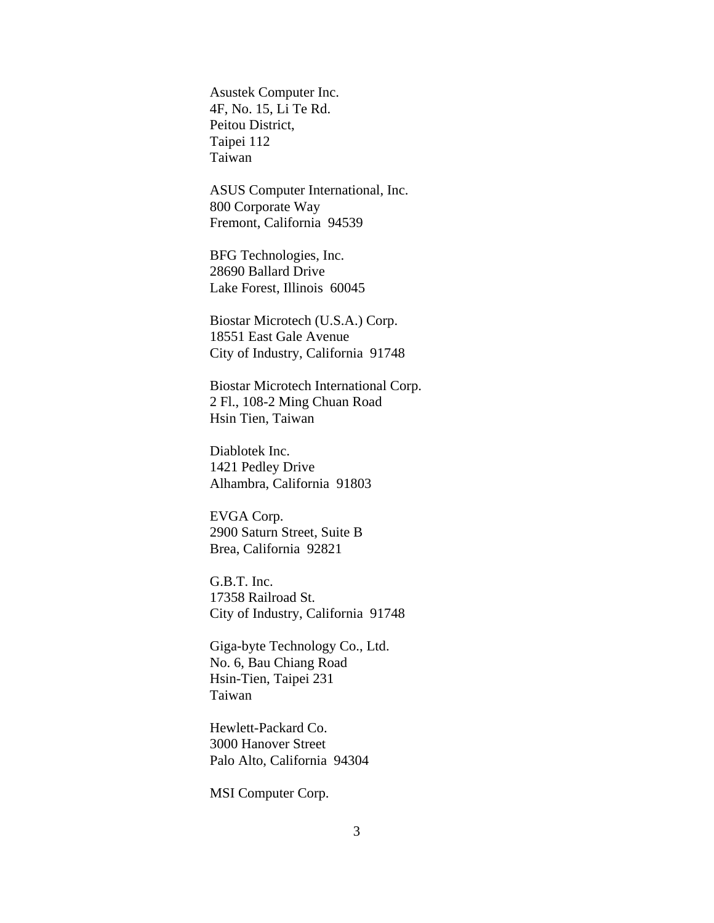Asustek Computer Inc. 4F, No. 15, Li Te Rd. Peitou District, Taipei 112 Taiwan

ASUS Computer International, Inc. 800 Corporate Way Fremont, California 94539

BFG Technologies, Inc. 28690 Ballard Drive Lake Forest, Illinois 60045

Biostar Microtech (U.S.A.) Corp. 18551 East Gale Avenue City of Industry, California 91748

Biostar Microtech International Corp. 2 Fl., 108-2 Ming Chuan Road Hsin Tien, Taiwan

Diablotek Inc. 1421 Pedley Drive Alhambra, California 91803

EVGA Corp. 2900 Saturn Street, Suite B Brea, California 92821

G.B.T. Inc. 17358 Railroad St. City of Industry, California 91748

Giga-byte Technology Co., Ltd. No. 6, Bau Chiang Road Hsin-Tien, Taipei 231 Taiwan

Hewlett-Packard Co. 3000 Hanover Street Palo Alto, California 94304

MSI Computer Corp.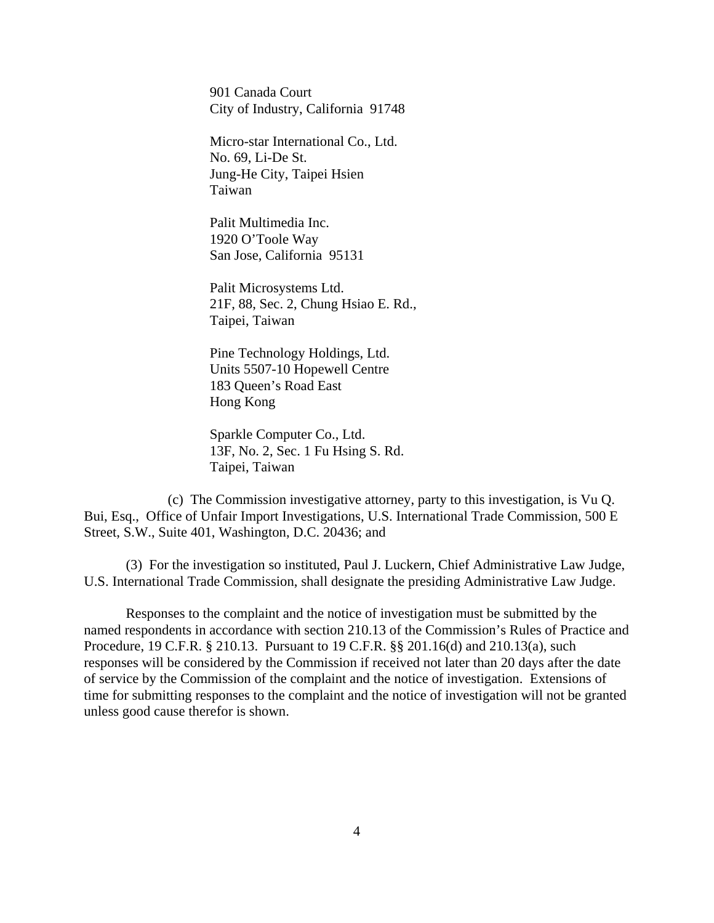901 Canada Court City of Industry, California 91748

Micro-star International Co., Ltd. No. 69, Li-De St. Jung-He City, Taipei Hsien Taiwan

Palit Multimedia Inc. 1920 O'Toole Way San Jose, California 95131

Palit Microsystems Ltd. 21F, 88, Sec. 2, Chung Hsiao E. Rd., Taipei, Taiwan

Pine Technology Holdings, Ltd. Units 5507-10 Hopewell Centre 183 Queen's Road East Hong Kong

Sparkle Computer Co., Ltd. 13F, No. 2, Sec. 1 Fu Hsing S. Rd. Taipei, Taiwan

(c) The Commission investigative attorney, party to this investigation, is Vu Q. Bui, Esq., Office of Unfair Import Investigations, U.S. International Trade Commission, 500 E Street, S.W., Suite 401, Washington, D.C. 20436; and

(3) For the investigation so instituted, Paul J. Luckern, Chief Administrative Law Judge, U.S. International Trade Commission, shall designate the presiding Administrative Law Judge.

Responses to the complaint and the notice of investigation must be submitted by the named respondents in accordance with section 210.13 of the Commission's Rules of Practice and Procedure, 19 C.F.R. § 210.13. Pursuant to 19 C.F.R. §§ 201.16(d) and 210.13(a), such responses will be considered by the Commission if received not later than 20 days after the date of service by the Commission of the complaint and the notice of investigation. Extensions of time for submitting responses to the complaint and the notice of investigation will not be granted unless good cause therefor is shown.